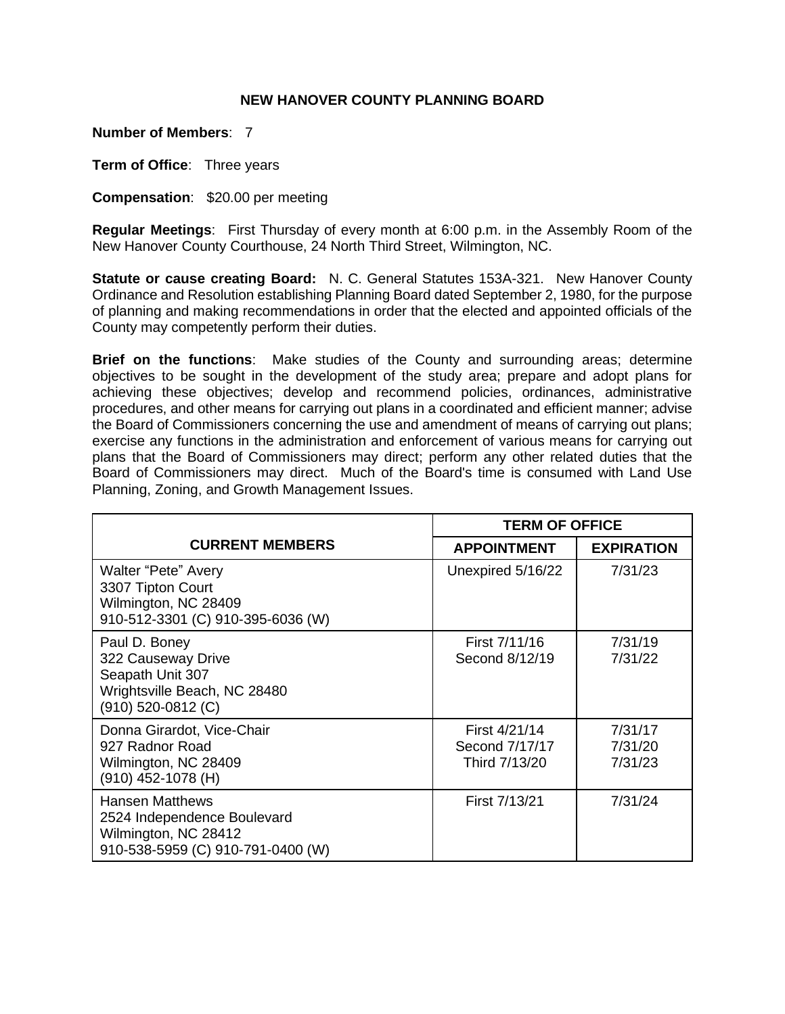## **NEW HANOVER COUNTY PLANNING BOARD**

**Number of Members**: 7

**Term of Office**: Three years

**Compensation**: \$20.00 per meeting

**Regular Meetings**: First Thursday of every month at 6:00 p.m. in the Assembly Room of the New Hanover County Courthouse, 24 North Third Street, Wilmington, NC.

**Statute or cause creating Board:** N. C. General Statutes 153A-321. New Hanover County Ordinance and Resolution establishing Planning Board dated September 2, 1980, for the purpose of planning and making recommendations in order that the elected and appointed officials of the County may competently perform their duties.

**Brief on the functions**: Make studies of the County and surrounding areas; determine objectives to be sought in the development of the study area; prepare and adopt plans for achieving these objectives; develop and recommend policies, ordinances, administrative procedures, and other means for carrying out plans in a coordinated and efficient manner; advise the Board of Commissioners concerning the use and amendment of means of carrying out plans; exercise any functions in the administration and enforcement of various means for carrying out plans that the Board of Commissioners may direct; perform any other related duties that the Board of Commissioners may direct. Much of the Board's time is consumed with Land Use Planning, Zoning, and Growth Management Issues.

|                                                                                                                    | <b>TERM OF OFFICE</b>                            |                               |
|--------------------------------------------------------------------------------------------------------------------|--------------------------------------------------|-------------------------------|
| <b>CURRENT MEMBERS</b>                                                                                             | <b>APPOINTMENT</b>                               | <b>EXPIRATION</b>             |
| <b>Walter "Pete" Avery</b><br>3307 Tipton Court<br>Wilmington, NC 28409<br>910-512-3301 (C) 910-395-6036 (W)       | Unexpired 5/16/22                                | 7/31/23                       |
| Paul D. Boney<br>322 Causeway Drive<br>Seapath Unit 307<br>Wrightsville Beach, NC 28480<br>$(910)$ 520-0812 (C)    | First 7/11/16<br>Second 8/12/19                  | 7/31/19<br>7/31/22            |
| Donna Girardot, Vice-Chair<br>927 Radnor Road<br>Wilmington, NC 28409<br>$(910)$ 452-1078 (H)                      | First 4/21/14<br>Second 7/17/17<br>Third 7/13/20 | 7/31/17<br>7/31/20<br>7/31/23 |
| <b>Hansen Matthews</b><br>2524 Independence Boulevard<br>Wilmington, NC 28412<br>910-538-5959 (C) 910-791-0400 (W) | First 7/13/21                                    | 7/31/24                       |